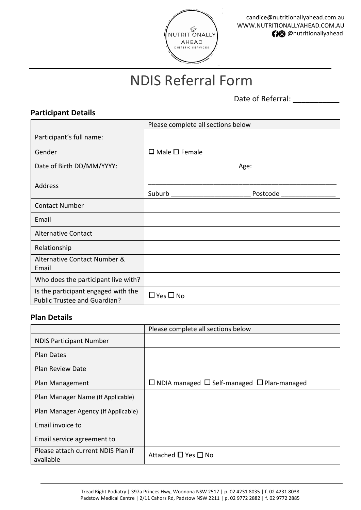

# NDIS Referral Form

Date of Referral: \_\_\_\_\_\_\_\_\_\_\_

## **Participant Details**

|                                                                            | Please complete all sections below |
|----------------------------------------------------------------------------|------------------------------------|
| Participant's full name:                                                   |                                    |
| Gender                                                                     | $\Box$ Male $\Box$ Female          |
| Date of Birth DD/MM/YYYY:                                                  | Age:                               |
| Address                                                                    |                                    |
|                                                                            | Suburb<br>Postcode                 |
| <b>Contact Number</b>                                                      |                                    |
| Email                                                                      |                                    |
| <b>Alternative Contact</b>                                                 |                                    |
| Relationship                                                               |                                    |
| Alternative Contact Number &<br>Email                                      |                                    |
| Who does the participant live with?                                        |                                    |
| Is the participant engaged with the<br><b>Public Trustee and Guardian?</b> | $\Box$ Yes $\Box$ No               |

#### **Plan Details**

|                                                 | Please complete all sections below                          |
|-------------------------------------------------|-------------------------------------------------------------|
| <b>NDIS Participant Number</b>                  |                                                             |
| <b>Plan Dates</b>                               |                                                             |
| <b>Plan Review Date</b>                         |                                                             |
| Plan Management                                 | $\Box$ NDIA managed $\Box$ Self-managed $\Box$ Plan-managed |
| Plan Manager Name (If Applicable)               |                                                             |
| Plan Manager Agency (If Applicable)             |                                                             |
| Email invoice to                                |                                                             |
| Email service agreement to                      |                                                             |
| Please attach current NDIS Plan if<br>available | Attached □ Yes □ No                                         |